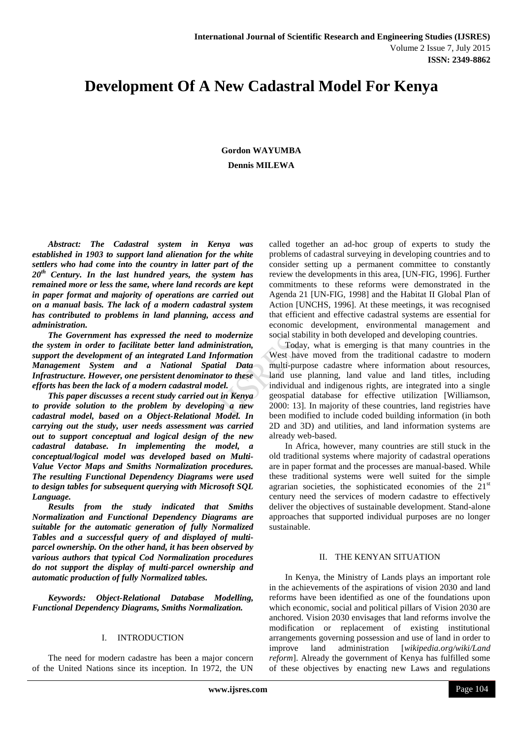# **Development Of A New Cadastral Model For Kenya**

**Gordon WAYUMBA Dennis MILEWA**

*Abstract: The Cadastral system in Kenya was established in 1903 to support land alienation for the white settlers who had come into the country in latter part of the 20th Century. In the last hundred years, the system has remained more or less the same, where land records are kept in paper format and majority of operations are carried out on a manual basis. The lack of a modern cadastral system has contributed to problems in land planning, access and administration.* 

*The Government has expressed the need to modernize the system in order to facilitate better land administration, support the development of an integrated Land Information Management System and a National Spatial Data Infrastructure. However, one persistent denominator to these efforts has been the lack of a modern cadastral model.*

*This paper discusses a recent study carried out in Kenya to provide solution to the problem by developing a new cadastral model, based on a Object-Relational Model. In carrying out the study, user needs assessment was carried out to support conceptual and logical design of the new cadastral database. In implementing the model, a conceptual/logical model was developed based on Multi-Value Vector Maps and Smiths Normalization procedures. The resulting Functional Dependency Diagrams were used to design tables for subsequent querying with Microsoft SQL Language.*

*Results from the study indicated that Smiths Normalization and Functional Dependency Diagrams are suitable for the automatic generation of fully Normalized Tables and a successful query of and displayed of multiparcel ownership. On the other hand, it has been observed by various authors that typical Cod Normalization procedures do not support the display of multi-parcel ownership and automatic production of fully Normalized tables.*

*Keywords: Object-Relational Database Modelling, Functional Dependency Diagrams, Smiths Normalization.*

### I. INTRODUCTION

The need for modern cadastre has been a major concern of the United Nations since its inception. In 1972, the UN

called together an ad-hoc group of experts to study the problems of cadastral surveying in developing countries and to consider setting up a permanent committee to constantly review the developments in this area, [UN-FIG, 1996]. Further commitments to these reforms were demonstrated in the Agenda 21 [UN-FIG, 1998] and the Habitat II Global Plan of Action [UNCHS, 1996]. At these meetings, it was recognised that efficient and effective cadastral systems are essential for economic development, environmental management and social stability in both developed and developing countries.

Today, what is emerging is that many countries in the West have moved from the traditional cadastre to modern multi-purpose cadastre where information about resources, land use planning, land value and land titles, including individual and indigenous rights, are integrated into a single geospatial database for effective utilization [Williamson, 2000: 13]. In majority of these countries, land registries have been modified to include coded building information (in both 2D and 3D) and utilities, and land information systems are already web-based.

In Africa, however, many countries are still stuck in the old traditional systems where majority of cadastral operations are in paper format and the processes are manual-based. While these traditional systems were well suited for the simple agrarian societies, the sophisticated economies of the  $21<sup>st</sup>$ century need the services of modern cadastre to effectively deliver the objectives of sustainable development. Stand-alone approaches that supported individual purposes are no longer sustainable.

#### II. THE KENYAN SITUATION

In Kenya, the Ministry of Lands plays an important role in the achievements of the aspirations of vision 2030 and land reforms have been identified as one of the foundations upon which economic, social and political pillars of Vision 2030 are anchored. Vision 2030 envisages that land reforms involve the modification or replacement of existing institutional arrangements governing possession and use of land in order to improve land administration [*wikipedia.org/wiki/Land reform*]. Already the government of Kenya has fulfilled some of these objectives by enacting new Laws and regulations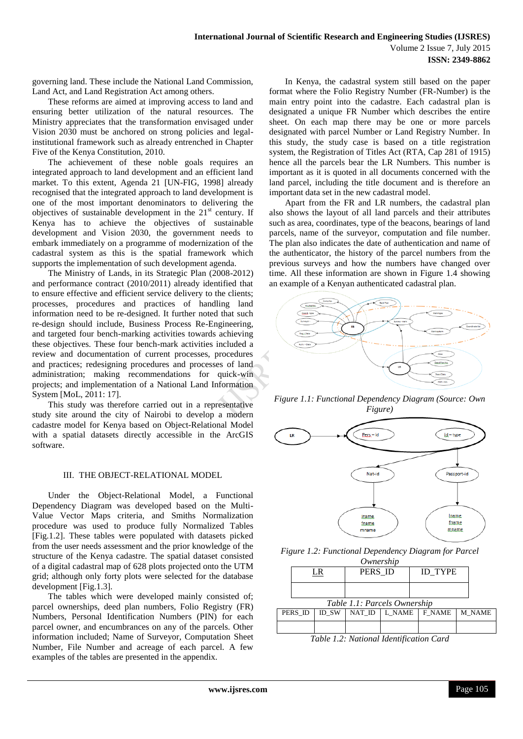governing land. These include the National Land Commission, Land Act, and Land Registration Act among others.

These reforms are aimed at improving access to land and ensuring better utilization of the natural resources. The Ministry appreciates that the transformation envisaged under Vision 2030 must be anchored on strong policies and legalinstitutional framework such as already entrenched in Chapter Five of the Kenya Constitution, 2010.

The achievement of these noble goals requires an integrated approach to land development and an efficient land market. To this extent, Agenda 21 [UN-FIG, 1998] already recognised that the integrated approach to land development is one of the most important denominators to delivering the objectives of sustainable development in the  $21<sup>st</sup>$  century. If Kenya has to achieve the objectives of sustainable development and Vision 2030, the government needs to embark immediately on a programme of modernization of the cadastral system as this is the spatial framework which supports the implementation of such development agenda.

The Ministry of Lands, in its Strategic Plan (2008-2012) and performance contract (2010/2011) already identified that to ensure effective and efficient service delivery to the clients; processes, procedures and practices of handling land information need to be re-designed. It further noted that such re-design should include, Business Process Re-Engineering, and targeted four bench-marking activities towards achieving these objectives. These four bench-mark activities included a review and documentation of current processes, procedures and practices; redesigning procedures and processes of land administration; making recommendations for quick-win projects; and implementation of a National Land Information System [MoL, 2011: 17].

This study was therefore carried out in a representative study site around the city of Nairobi to develop a modern cadastre model for Kenya based on Object-Relational Model with a spatial datasets directly accessible in the ArcGIS software.

## III. THE OBJECT-RELATIONAL MODEL

Under the Object-Relational Model, a Functional Dependency Diagram was developed based on the Multi-Value Vector Maps criteria, and Smiths Normalization procedure was used to produce fully Normalized Tables [Fig.1.2]. These tables were populated with datasets picked from the user needs assessment and the prior knowledge of the structure of the Kenya cadastre. The spatial dataset consisted of a digital cadastral map of 628 plots projected onto the UTM grid; although only forty plots were selected for the database development [Fig.1.3].

The tables which were developed mainly consisted of; parcel ownerships, deed plan numbers, Folio Registry (FR) Numbers, Personal Identification Numbers (PIN) for each parcel owner, and encumbrances on any of the parcels. Other information included; Name of Surveyor, Computation Sheet Number, File Number and acreage of each parcel. A few examples of the tables are presented in the appendix.

In Kenya, the cadastral system still based on the paper format where the Folio Registry Number (FR-Number) is the main entry point into the cadastre. Each cadastral plan is designated a unique FR Number which describes the entire sheet. On each map there may be one or more parcels designated with parcel Number or Land Registry Number. In this study, the study case is based on a title registration system, the Registration of Titles Act (RTA, Cap 281 of 1915) hence all the parcels bear the LR Numbers. This number is important as it is quoted in all documents concerned with the land parcel, including the title document and is therefore an important data set in the new cadastral model.

Apart from the FR and LR numbers, the cadastral plan also shows the layout of all land parcels and their attributes such as area, coordinates, type of the beacons, bearings of land parcels, name of the surveyor, computation and file number. The plan also indicates the date of authentication and name of the authenticator, the history of the parcel numbers from the previous surveys and how the numbers have changed over time. All these information are shown in Figure 1.4 showing an example of a Kenyan authenticated cadastral plan.



*Figure 1.1: Functional Dependency Diagram (Source: Own Figure)*



*Figure 1.2: Functional Dependency Diagram for Parcel* 

| Ownership |                              |       |         |        |                                         |        |  |  |
|-----------|------------------------------|-------|---------|--------|-----------------------------------------|--------|--|--|
|           | LR                           |       | PERS ID |        | <b>ID TYPE</b>                          |        |  |  |
|           |                              |       |         |        |                                         |        |  |  |
|           | Table 1.1: Parcels Ownership |       |         |        |                                         |        |  |  |
|           | PERS ID                      | ID SW | NAT ID  | L NAME | F NAME                                  | M NAME |  |  |
|           |                              |       |         |        |                                         |        |  |  |
|           |                              |       |         |        | Table 1.2. National Identification Card |        |  |  |

*Table 1.2: National Identification Card*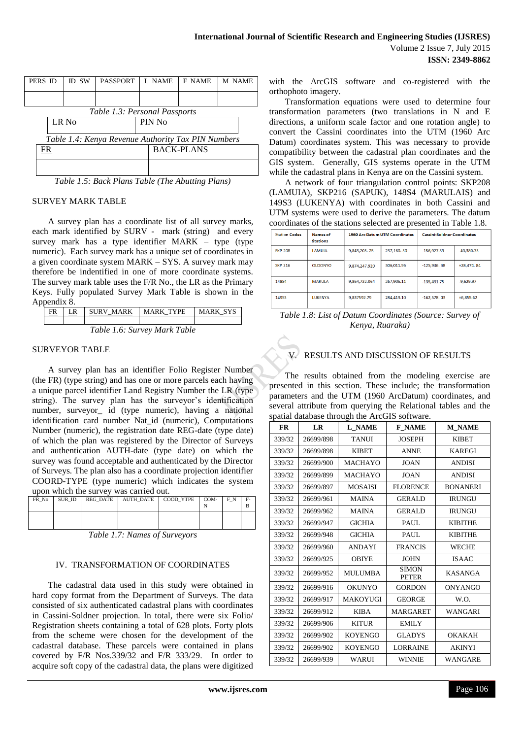| PERS ID                                            |       | ID SW | <b>PASSPORT</b> |        | L NAME            | F NAME | M NAME |
|----------------------------------------------------|-------|-------|-----------------|--------|-------------------|--------|--------|
|                                                    |       |       |                 |        |                   |        |        |
|                                                    |       |       |                 |        |                   |        |        |
|                                                    |       |       |                 |        |                   |        |        |
| Table 1.3: Personal Passports                      |       |       |                 |        |                   |        |        |
|                                                    | LR No |       |                 | PIN No |                   |        |        |
|                                                    |       |       |                 |        |                   |        |        |
| Table 1.4: Kenya Revenue Authority Tax PIN Numbers |       |       |                 |        |                   |        |        |
| FR                                                 |       |       |                 |        | <b>BACK-PLANS</b> |        |        |
|                                                    |       |       |                 |        |                   |        |        |
|                                                    |       |       |                 |        |                   |        |        |
|                                                    |       |       |                 |        |                   |        |        |

*Table 1.5: Back Plans Table (The Abutting Plans)*

#### SURVEY MARK TABLE

A survey plan has a coordinate list of all survey marks, each mark identified by SURV - mark (string) and every survey mark has a type identifier MARK – type (type numeric). Each survey mark has a unique set of coordinates in a given coordinate system MARK – SYS. A survey mark may therefore be indentified in one of more coordinate systems. The survey mark table uses the F/R No., the LR as the Primary Keys. Fully populated Survey Mark Table is shown in the Appendix 8.

| ER                           | LR | SURV MARK | <b>MARK TYPE</b> | MARK SYS |  |  |
|------------------------------|----|-----------|------------------|----------|--|--|
|                              |    |           |                  |          |  |  |
| Table 1.6: Survey Mark Table |    |           |                  |          |  |  |

## SURVEYOR TABLE

A survey plan has an identifier Folio Register Number (the FR) (type string) and has one or more parcels each having a unique parcel identifier Land Registry Number the LR (type string). The survey plan has the surveyor's identification number, surveyor\_ id (type numeric), having a national identification card number Nat\_id (numeric), Computations Number (numeric), the registration date REG-date (type date) of which the plan was registered by the Director of Surveys and authentication AUTH-date (type date) on which the survey was found acceptable and authenticated by the Director of Surveys. The plan also has a coordinate projection identifier COORD-TYPE (type numeric) which indicates the system upon which the survey was carried out.

| <u>upon which die survey was canned such</u> |        |                 |                  |           |      |     |    |  |
|----------------------------------------------|--------|-----------------|------------------|-----------|------|-----|----|--|
| FR No                                        | SUR ID | <b>REG DATE</b> | <b>AUTH DATE</b> | COOD YTPE | COM- | F N | F- |  |
|                                              |        |                 |                  |           |      |     | B  |  |
|                                              |        |                 |                  |           |      |     |    |  |
|                                              |        |                 |                  |           |      |     |    |  |
|                                              |        |                 |                  |           |      |     |    |  |

*Table 1.7: Names of Surveyors*

#### IV. TRANSFORMATION OF COORDINATES

The cadastral data used in this study were obtained in hard copy format from the Department of Surveys. The data consisted of six authenticated cadastral plans with coordinates in Cassini-Soldner projection. In total, there were six Folio/ Registration sheets containing a total of 628 plots. Forty plots from the scheme were chosen for the development of the cadastral database. These parcels were contained in plans covered by F/R Nos.339/32 and F/R 333/29. In order to acquire soft copy of the cadastral data, the plans were digitized

with the ArcGIS software and co-registered with the orthophoto imagery.

Transformation equations were used to determine four transformation parameters (two translations in N and E directions, a uniform scale factor and one rotation angle) to convert the Cassini coordinates into the UTM (1960 Arc Datum) coordinates system. This was necessary to provide compatibility between the cadastral plan coordinates and the GIS system. Generally, GIS systems operate in the UTM while the cadastral plans in Kenya are on the Cassini system.

A network of four triangulation control points: SKP208 (LAMUIA), SKP216 (SAPUK), 148S4 (MARULAIS) and 149S3 (LUKENYA) with coordinates in both Cassini and UTM systems were used to derive the parameters. The datum coordinates of the stations selected are presented in Table 1.8.

| <b>Station Codes</b> | Names of<br><b>Stations</b> | <b>1960 Arc Datum UTM Coordinates</b> |             | <b>Cassini-Soldner Coordinates</b> |              |
|----------------------|-----------------------------|---------------------------------------|-------------|------------------------------------|--------------|
| <b>SKP 208</b>       | <b>LAMUIA</b>               | 9.843.205.25                          | 237.160, 30 | $-156.927.59$                      | $-40.380.73$ |
| <b>SKP 216</b>       | OLDONYO                     | 9.874.247.920                         | 306.011.96  | $-125.946.38$                      | $+28.474.84$ |
| 14854                | <b>MARULA</b>               | 9.864.732.064                         | 267.906.11  | $-135.431.75$                      | $-9.629.97$  |
| 149S3                | <b>LUKENYA</b>              | 9.837592.79                           | 284.419.10  | $-162,578.03$                      | $+6,855.62$  |

*Table 1.8: List of Datum Coordinates (Source: Survey of Kenya, Ruaraka)*

## RESULTS AND DISCUSSION OF RESULTS

The results obtained from the modeling exercise are presented in this section. These include; the transformation parameters and the UTM (1960 ArcDatum) coordinates, and several attribute from querying the Relational tables and the spatial database through the ArcGIS software.

| <b>FR</b> | LR        | <b>L_NAME</b>  | <b>F_NAME</b>                | <b>M NAME</b>   |
|-----------|-----------|----------------|------------------------------|-----------------|
| 339/32    | 26699/898 | <b>TANUI</b>   | <b>JOSEPH</b>                | <b>KIBET</b>    |
| 339/32    | 26699/898 | <b>KIBET</b>   | <b>ANNE</b>                  | <b>KAREGI</b>   |
| 339/32    | 26699/900 | <b>MACHAYO</b> | <b>JOAN</b>                  | <b>ANDISI</b>   |
| 339/32    | 26699/899 | <b>MACHAYO</b> | <b>JOAN</b>                  | <b>ANDISI</b>   |
| 339/32    | 26699/897 | <b>MOSAISI</b> | <b>FLORENCE</b>              | <b>BONANERI</b> |
| 339/32    | 26699/961 | <b>MAINA</b>   | <b>GERALD</b>                | <b>IRUNGU</b>   |
| 339/32    | 26699/962 | <b>MAINA</b>   | <b>GERALD</b>                | <b>IRUNGU</b>   |
| 339/32    | 26699/947 | <b>GICHIA</b>  | <b>PAUL</b>                  | <b>KIBITHE</b>  |
| 339/32    | 26699/948 | <b>GICHIA</b>  | <b>PAUL</b>                  | <b>KIBITHE</b>  |
| 339/32    | 26699/960 | <b>ANDAYI</b>  | <b>FRANCIS</b>               | <b>WECHE</b>    |
| 339/32    | 26699/925 | <b>OBIYE</b>   | <b>JOHN</b>                  | <b>ISAAC</b>    |
| 339/32    | 26699/952 | <b>MULUMBA</b> | <b>SIMON</b><br><b>PETER</b> | <b>KASANGA</b>  |
| 339/32    | 26699/916 | <b>OKUNYO</b>  | <b>GORDON</b>                | <b>ONYANGO</b>  |
| 339/32    | 26699/917 | MAKOYUGI       | <b>GEORGE</b>                | W.O.            |
| 339/32    | 26699/912 | <b>KIBA</b>    | <b>MARGARET</b>              | <b>WANGARI</b>  |
| 339/32    | 26699/906 | <b>KITUR</b>   | <b>EMILY</b>                 |                 |
| 339/32    | 26699/902 | <b>KOYENGO</b> | <b>GLADYS</b>                | <b>OKAKAH</b>   |
| 339/32    | 26699/902 | <b>KOYENGO</b> | <b>LORRAINE</b>              | <b>AKINYI</b>   |
| 339/32    | 26699/939 | WARUI          | <b>WINNIE</b>                | <b>WANGARE</b>  |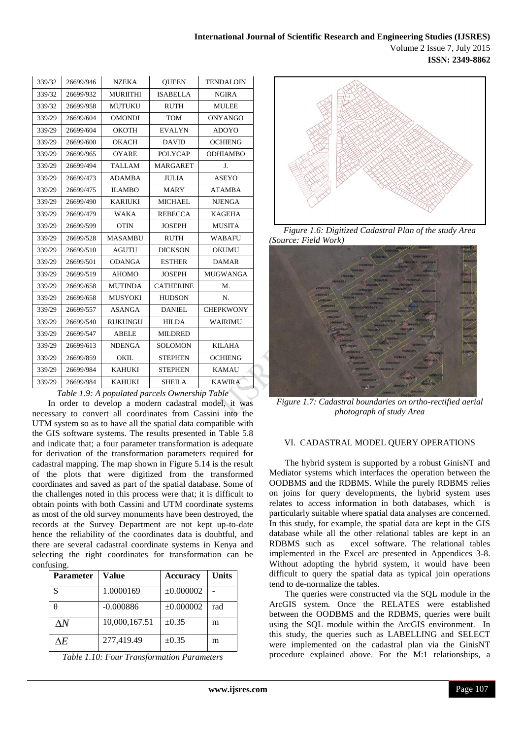| 339/32 | 26699/946 | <b>NZEKA</b>    | <b>OUEEN</b>     | <b>TENDALOIN</b> |
|--------|-----------|-----------------|------------------|------------------|
| 339/32 | 26699/932 | <b>MURIITHI</b> | <b>ISABELLA</b>  | <b>NGIRA</b>     |
| 339/32 | 26699/958 | <b>MUTUKU</b>   | <b>RUTH</b>      | <b>MULEE</b>     |
| 339/29 | 26699/604 | <b>OMONDI</b>   | TOM              | ONYANGO          |
| 339/29 | 26699/604 | <b>OKOTH</b>    | <b>EVALYN</b>    | <b>ADOYO</b>     |
| 339/29 | 26699/600 | <b>OKACH</b>    | <b>DAVID</b>     | <b>OCHIENG</b>   |
| 339/29 | 26699/965 | <b>OYARE</b>    | <b>POLYCAP</b>   | <b>ODHIAMBO</b>  |
| 339/29 | 26699/494 | <b>TALLAM</b>   | <b>MARGARET</b>  | J.               |
| 339/29 | 26699/473 | <b>ADAMBA</b>   | <b>JULIA</b>     | <b>ASEYO</b>     |
| 339/29 | 26699/475 | <b>ILAMBO</b>   | <b>MARY</b>      | <b>ATAMBA</b>    |
| 339/29 | 26699/490 | <b>KARIUKI</b>  | <b>MICHAEL</b>   | <b>NJENGA</b>    |
| 339/29 | 26699/479 | <b>WAKA</b>     | <b>REBECCA</b>   | <b>KAGEHA</b>    |
| 339/29 | 26699/599 | <b>OTIN</b>     | <b>JOSEPH</b>    | <b>MUSITA</b>    |
| 339/29 | 26699/528 | <b>MASAMBU</b>  | <b>RUTH</b>      | <b>WABAFU</b>    |
| 339/29 | 26699/510 | <b>AGUTU</b>    | <b>DICKSON</b>   | <b>OKUMU</b>     |
| 339/29 | 26699/501 | <b>ODANGA</b>   | <b>ESTHER</b>    | <b>DAMAR</b>     |
| 339/29 | 26699/519 | <b>AHOMO</b>    | <b>JOSEPH</b>    | <b>MUGWANGA</b>  |
| 339/29 | 26699/658 | <b>MUTINDA</b>  | <b>CATHERINE</b> | M.               |
| 339/29 | 26699/658 | <b>MUSYOKI</b>  | <b>HUDSON</b>    | N.               |
| 339/29 | 26699/557 | <b>ASANGA</b>   | <b>DANIEL</b>    | <b>CHEPKWONY</b> |
| 339/29 | 26699/540 | <b>RUKUNGU</b>  | <b>HILDA</b>     | WAIRIMU          |
| 339/29 | 26699/547 | <b>ABELE</b>    | <b>MILDRED</b>   |                  |
| 339/29 | 26699/613 | <b>NDENGA</b>   | <b>SOLOMON</b>   | <b>KILAHA</b>    |
| 339/29 | 26699/859 | <b>OKIL</b>     | <b>STEPHEN</b>   | <b>OCHIENG</b>   |
| 339/29 | 26699/984 | <b>KAHUKI</b>   | <b>STEPHEN</b>   | <b>KAMAU</b>     |
| 339/29 | 26699/984 | <b>KAHUKI</b>   | <b>SHEILA</b>    | <b>KAWIRA</b>    |
|        |           |                 |                  |                  |

*Table 1.9: A populated parcels Ownership Table*

In order to develop a modern cadastral model, it was necessary to convert all coordinates from Cassini into the UTM system so as to have all the spatial data compatible with the GIS software systems. The results presented in Table 5.8 and indicate that; a four parameter transformation is adequate for derivation of the transformation parameters required for cadastral mapping. The map shown in Figure 5.14 is the result of the plots that were digitized from the transformed coordinates and saved as part of the spatial database. Some of the challenges noted in this process were that; it is difficult to obtain points with both Cassini and UTM coordinate systems as most of the old survey monuments have been destroyed, the records at the Survey Department are not kept up-to-date hence the reliability of the coordinates data is doubtful, and there are several cadastral coordinate systems in Kenya and selecting the right coordinates for transformation can be confusing.

| Parameter   | Value         | <b>Accuracy</b> | <b>Units</b> |
|-------------|---------------|-----------------|--------------|
| S           | 1.0000169     | $\pm 0.000002$  |              |
|             | $-0.000886$   | $\pm 0.000002$  | rad          |
| $\Lambda N$ | 10,000,167.51 | $\pm 0.35$      | m            |
| ۸F.         | 277,419.49    | $\pm 0.35$      | m            |

*Table 1.10: Four Transformation Parameters*



*Figure 1.6: Digitized Cadastral Plan of the study Area (Source: Field Work)*



*Figure 1.7: Cadastral boundaries on ortho-rectified aerial photograph of study Area*

#### VI. CADASTRAL MODEL QUERY OPERATIONS

The hybrid system is supported by a robust GinisNT and Mediator systems which interfaces the operation between the OODBMS and the RDBMS. While the purely RDBMS relies on joins for query developments, the hybrid system uses relates to access information in both databases, which is particularly suitable where spatial data analyses are concerned. In this study, for example, the spatial data are kept in the GIS database while all the other relational tables are kept in an RDBMS such as excel software. The relational tables implemented in the Excel are presented in Appendices 3-8. Without adopting the hybrid system, it would have been difficult to query the spatial data as typical join operations tend to de-normalize the tables.

The queries were constructed via the SQL module in the ArcGIS system. Once the RELATES were established between the OODBMS and the RDBMS, queries were built using the SQL module within the ArcGIS environment. In this study, the queries such as LABELLING and SELECT were implemented on the cadastral plan via the GinisNT procedure explained above. For the M:1 relationships, a